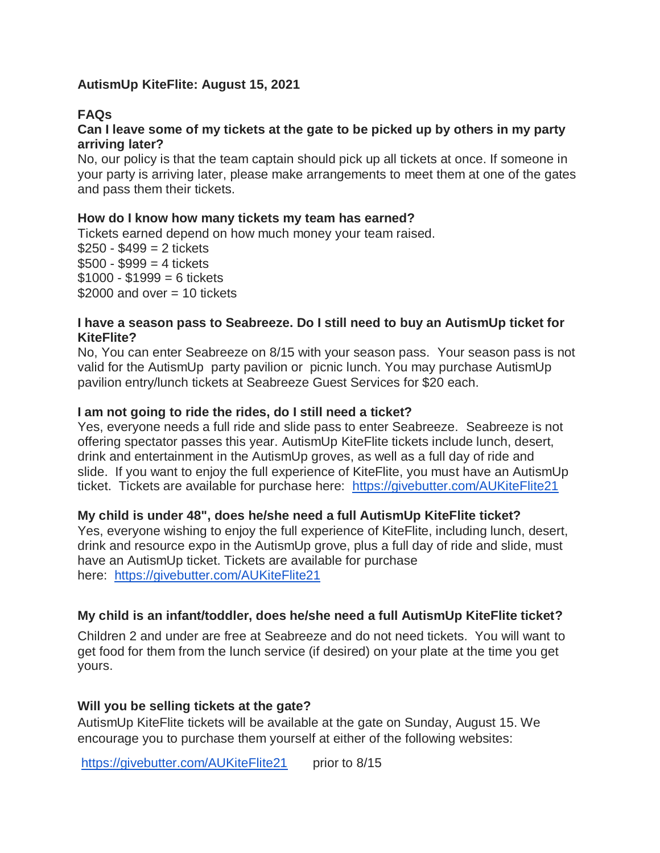# **AutismUp KiteFlite: August 15, 2021**

# **FAQs**

## **Can I leave some of my tickets at the gate to be picked up by others in my party arriving later?**

No, our policy is that the team captain should pick up all tickets at once. If someone in your party is arriving later, please make arrangements to meet them at one of the gates and pass them their tickets.

#### **How do I know how many tickets my team has earned?**

Tickets earned depend on how much money your team raised.  $$250 - $499 = 2$  tickets  $$500 - $999 = 4$  tickets  $$1000 - $1999 = 6$  tickets  $$2000$  and over  $= 10$  tickets

#### **I have a season pass to Seabreeze. Do I still need to buy an AutismUp ticket for KiteFlite?**

No, You can enter Seabreeze on 8/15 with your season pass. Your season pass is not valid for the AutismUp party pavilion or picnic lunch. You may purchase AutismUp pavilion entry/lunch tickets at Seabreeze Guest Services for \$20 each.

## **I am not going to ride the rides, do I still need a ticket?**

Yes, everyone needs a full ride and slide pass to enter Seabreeze. Seabreeze is not offering spectator passes this year. AutismUp KiteFlite tickets include lunch, desert, drink and entertainment in the AutismUp groves, as well as a full day of ride and slide. If you want to enjoy the full experience of KiteFlite, you must have an AutismUp ticket. Tickets are available for purchase here: <https://givebutter.com/AUKiteFlite21>

## **My child is under 48", does he/she need a full AutismUp KiteFlite ticket?**

Yes, everyone wishing to enjoy the full experience of KiteFlite, including lunch, desert, drink and resource expo in the AutismUp grove, plus a full day of ride and slide, must have an AutismUp ticket. Tickets are available for purchase here: <https://givebutter.com/AUKiteFlite21>

## **My child is an infant/toddler, does he/she need a full AutismUp KiteFlite ticket?**

Children 2 and under are free at Seabreeze and do not need tickets. You will want to get food for them from the lunch service (if desired) on your plate at the time you get yours.

## **Will you be selling tickets at the gate?**

AutismUp KiteFlite tickets will be available at the gate on Sunday, August 15. We encourage you to purchase them yourself at either of the following websites:

<https://givebutter.com/AUKiteFlite21>prior to 8/15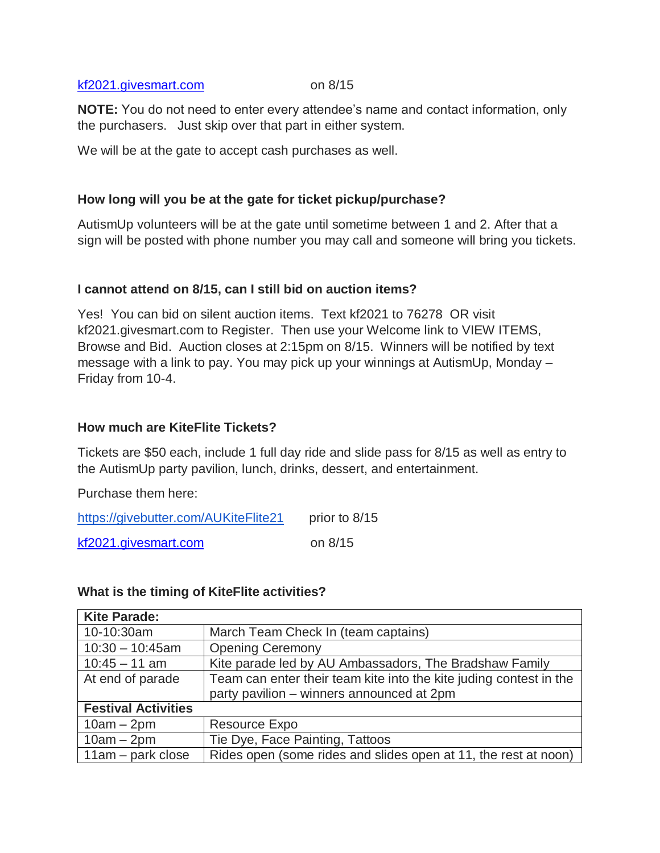#### [kf2021.givesmart.com](http://www.kf2021.givesmart.com/) on 8/15

**NOTE:** You do not need to enter every attendee's name and contact information, only the purchasers. Just skip over that part in either system.

We will be at the gate to accept cash purchases as well.

# **How long will you be at the gate for ticket pickup/purchase?**

AutismUp volunteers will be at the gate until sometime between 1 and 2. After that a sign will be posted with phone number you may call and someone will bring you tickets.

## **I cannot attend on 8/15, can I still bid on auction items?**

Yes! You can bid on silent auction items. Text kf2021 to 76278 OR visit kf2021.givesmart.com to Register. Then use your Welcome link to VIEW ITEMS, Browse and Bid. Auction closes at 2:15pm on 8/15. Winners will be notified by text message with a link to pay. You may pick up your winnings at AutismUp, Monday – Friday from 10-4.

## **How much are KiteFlite Tickets?**

Tickets are \$50 each, include 1 full day ride and slide pass for 8/15 as well as entry to the AutismUp party pavilion, lunch, drinks, dessert, and entertainment.

Purchase them here:

| https://givebutter.com/AUKiteFlite21 | prior to 8/15 |
|--------------------------------------|---------------|
| kf2021.givesmart.com                 | on $8/15$     |

## **What is the timing of KiteFlite activities?**

| <b>Kite Parade:</b>        |                                                                    |
|----------------------------|--------------------------------------------------------------------|
| 10-10:30am                 | March Team Check In (team captains)                                |
| $10:30 - 10:45$ am         | <b>Opening Ceremony</b>                                            |
| $10:45 - 11$ am            | Kite parade led by AU Ambassadors, The Bradshaw Family             |
| At end of parade           | Team can enter their team kite into the kite juding contest in the |
|                            | party pavilion - winners announced at 2pm                          |
| <b>Festival Activities</b> |                                                                    |
| $10am - 2pm$               | Resource Expo                                                      |
| $10am - 2pm$               | Tie Dye, Face Painting, Tattoos                                    |
| $11am - park close$        | Rides open (some rides and slides open at 11, the rest at noon)    |